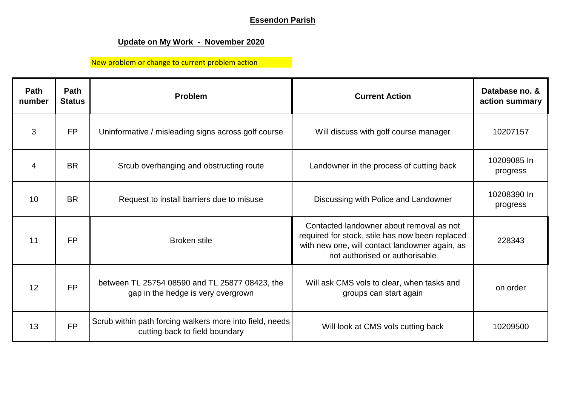# **Essendon Parish**

# **Update on My Work - November 2020**

# New problem or change to current problem action

| Path<br>number | Path<br><b>Status</b> | Problem                                                                                    | <b>Current Action</b>                                                                                                                                                           | Database no. &<br>action summary |
|----------------|-----------------------|--------------------------------------------------------------------------------------------|---------------------------------------------------------------------------------------------------------------------------------------------------------------------------------|----------------------------------|
| 3              | <b>FP</b>             | Uninformative / misleading signs across golf course                                        | Will discuss with golf course manager                                                                                                                                           | 10207157                         |
| $\overline{4}$ | <b>BR</b>             | Srcub overhanging and obstructing route                                                    | Landowner in the process of cutting back                                                                                                                                        | 10209085 In<br>progress          |
| 10             | <b>BR</b>             | Request to install barriers due to misuse                                                  | Discussing with Police and Landowner                                                                                                                                            | 10208390 In<br>progress          |
| 11             | <b>FP</b>             | <b>Broken stile</b>                                                                        | Contacted landowner about removal as not<br>required for stock, stile has now been replaced<br>with new one, will contact landowner again, as<br>not authorised or authorisable | 228343                           |
| 12             | <b>FP</b>             | between TL 25754 08590 and TL 25877 08423, the<br>gap in the hedge is very overgrown       | Will ask CMS vols to clear, when tasks and<br>groups can start again                                                                                                            | on order                         |
| 13             | <b>FP</b>             | Scrub within path forcing walkers more into field, needs<br>cutting back to field boundary | Will look at CMS vols cutting back                                                                                                                                              | 10209500                         |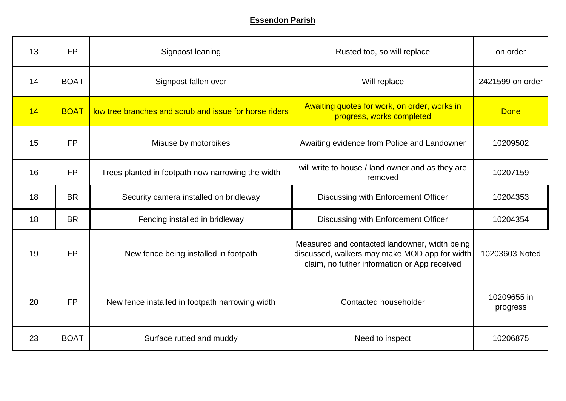### **Essendon Parish**

| 13 | <b>FP</b>   | Signpost leaning                                       | Rusted too, so will replace                                                                                                                    | on order                |
|----|-------------|--------------------------------------------------------|------------------------------------------------------------------------------------------------------------------------------------------------|-------------------------|
| 14 | <b>BOAT</b> | Signpost fallen over                                   | Will replace                                                                                                                                   | 2421599 on order        |
| 14 | <b>BOAT</b> | low tree branches and scrub and issue for horse riders | Awaiting quotes for work, on order, works in<br>progress, works completed                                                                      | <b>Done</b>             |
| 15 | <b>FP</b>   | Misuse by motorbikes                                   | Awaiting evidence from Police and Landowner                                                                                                    | 10209502                |
| 16 | <b>FP</b>   | Trees planted in footpath now narrowing the width      | will write to house / land owner and as they are<br>removed                                                                                    | 10207159                |
| 18 | <b>BR</b>   | Security camera installed on bridleway                 | Discussing with Enforcement Officer                                                                                                            | 10204353                |
| 18 | <b>BR</b>   | Fencing installed in bridleway                         | Discussing with Enforcement Officer                                                                                                            | 10204354                |
| 19 | <b>FP</b>   | New fence being installed in footpath                  | Measured and contacted landowner, width being<br>discussed, walkers may make MOD app for width<br>claim, no futher information or App received | 10203603 Noted          |
| 20 | <b>FP</b>   | New fence installed in footpath narrowing width        | <b>Contacted householder</b>                                                                                                                   | 10209655 in<br>progress |
| 23 | <b>BOAT</b> | Surface rutted and muddy                               | Need to inspect                                                                                                                                | 10206875                |